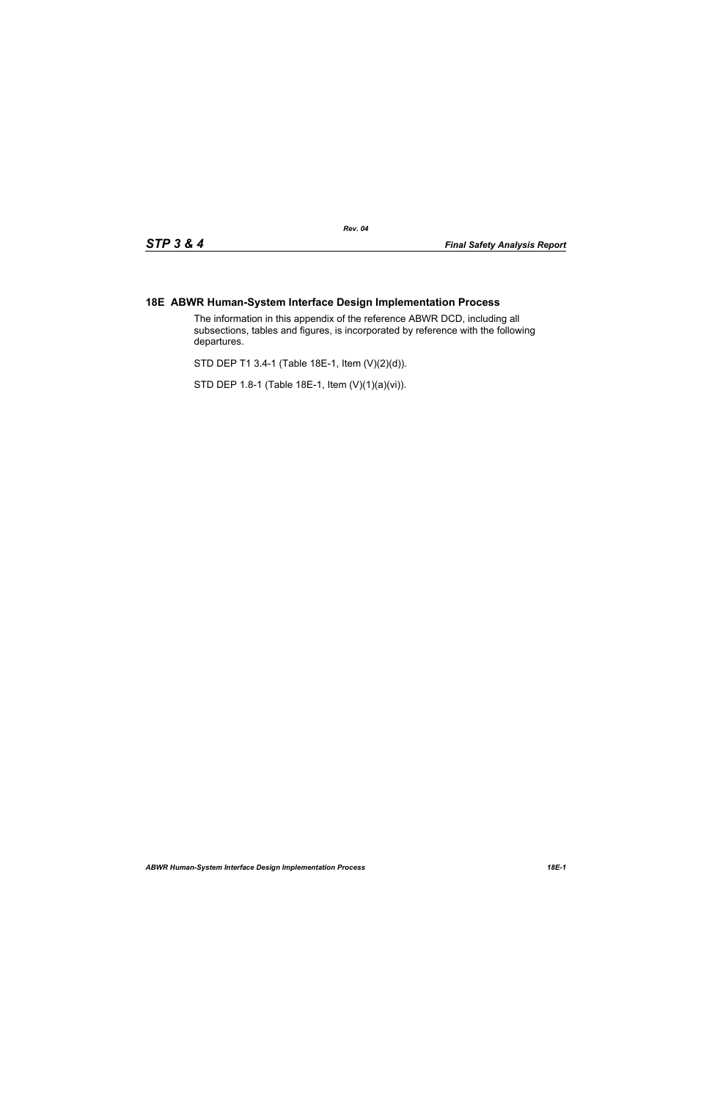## **18E ABWR Human-System Interface Design Implementation Process**

The information in this appendix of the reference ABWR DCD, including all subsections, tables and figures, is incorporated by reference with the following departures.

STD DEP T1 3.4-1 (Table 18E-1, Item (V)(2)(d)).

STD DEP 1.8-1 (Table 18E-1, Item (V)(1)(a)(vi)).